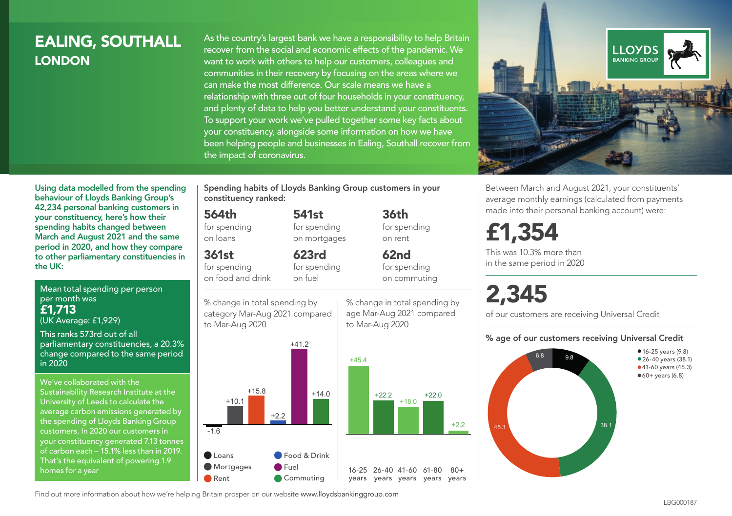## EALING, SOUTHALL **LONDON**

As the country's largest bank we have a responsibility to help Britain recover from the social and economic effects of the pandemic. We want to work with others to help our customers, colleagues and communities in their recovery by focusing on the areas where we can make the most difference. Our scale means we have a relationship with three out of four households in your constituency, and plenty of data to help you better understand your constituents. To support your work we've pulled together some key facts about your constituency, alongside some information on how we have been helping people and businesses in Ealing, Southall recover from the impact of coronavirus.



Between March and August 2021, your constituents' average monthly earnings (calculated from payments made into their personal banking account) were:

## £1,354

This was 10.3% more than in the same period in 2020

# 2,345

+2.2

 $80+$ 

% change in total spending by age Mar-Aug 2021 compared

36th for spending on rent

62nd for spending on commuting

to Mar-Aug 2020

of our customers are receiving Universal Credit

#### % age of our customers receiving Universal Credit



Using data modelled from the spending behaviour of Lloyds Banking Group's 42,234 personal banking customers in your constituency, here's how their spending habits changed between March and August 2021 and the same period in 2020, and how they compare to other parliamentary constituencies in the UK:

Mean total spending per person per month was £1,713 (UK Average: £1,929)

This ranks 573rd out of all parliamentary constituencies, a 20.3% change compared to the same period in 2020

We've collaborated with the Sustainability Research Institute at the University of Leeds to calculate the average carbon emissions generated by the spending of Lloyds Banking Group customers. In 2020 our customers in your constituency generated 7.13 tonnes of carbon each – 15.1% less than in 2019. That's the equivalent of powering 1.9 homes for a year

Spending habits of Lloyds Banking Group customers in your constituency ranked:

> 541st for spending on mortgages

623rd

## 564th

for spending on loans

## 361st

for spending on food and drink

for spending on fuel





Find out more information about how we're helping Britain prosper on our website www.lloydsbankinggroup.com